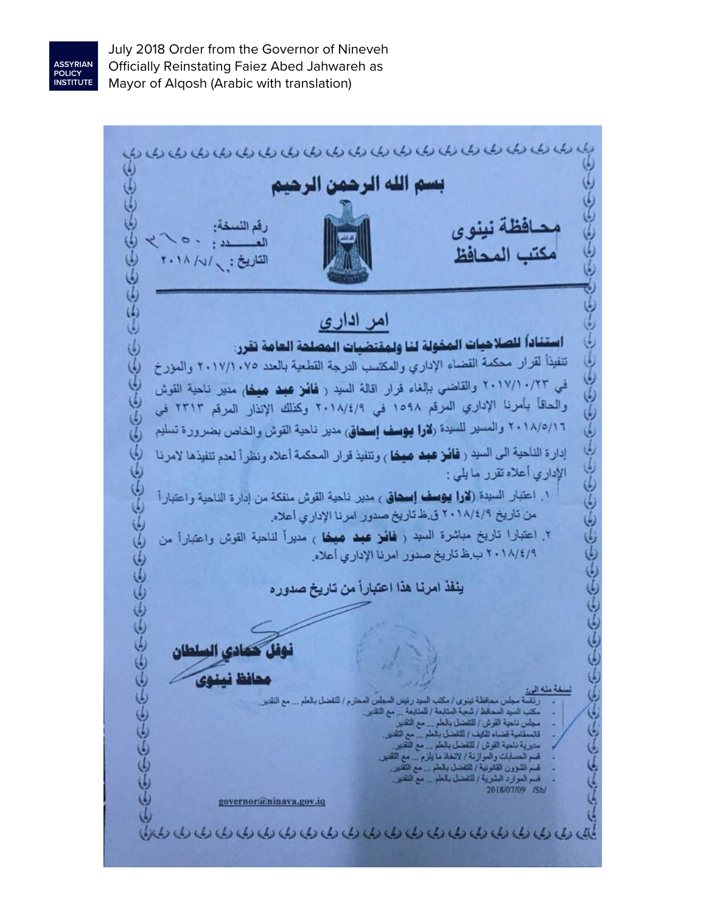

July 2018 Order from the Governor of Nineveh Officially Reinstating Faiez Abed Jahwareh as Mayor of Alqosh (Arabic with translation)